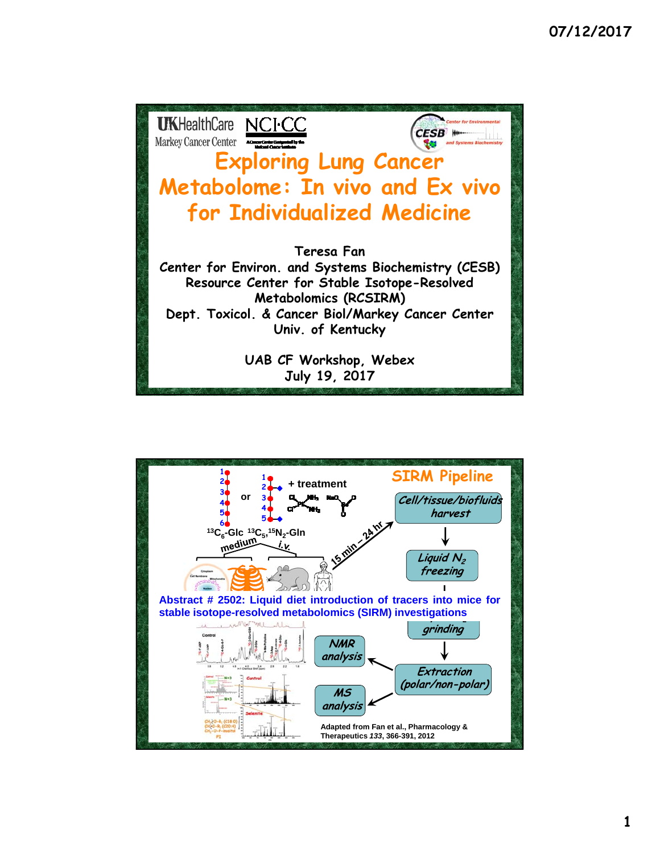

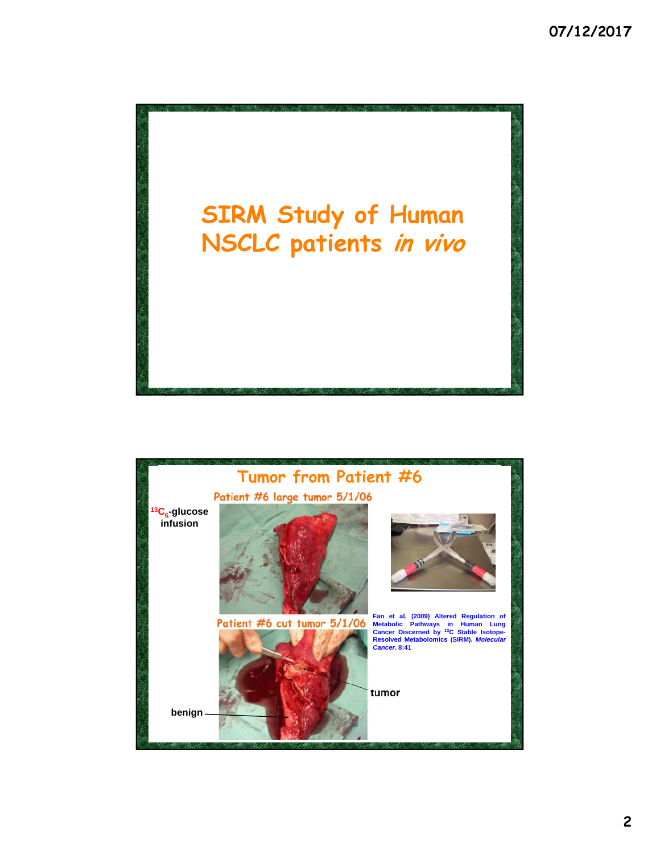

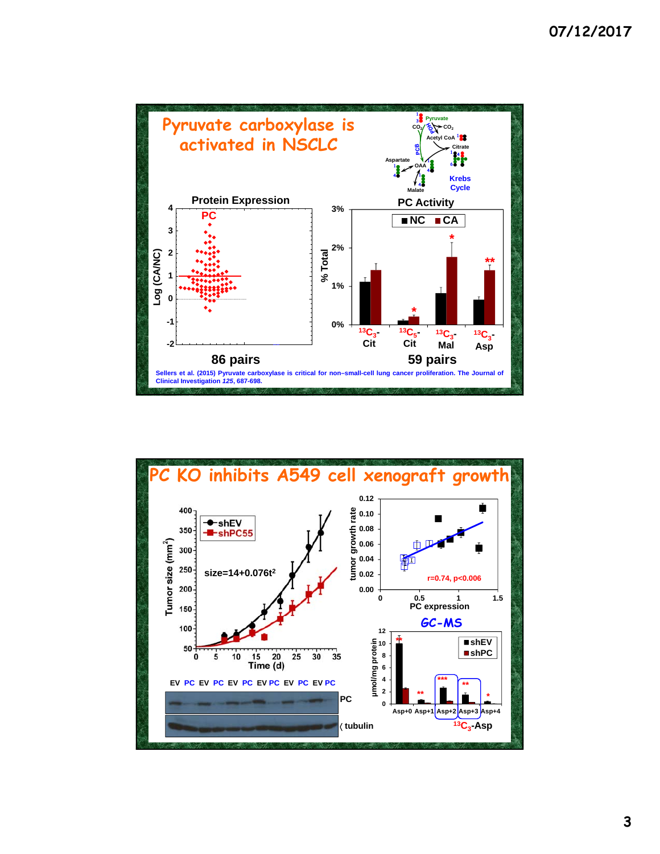

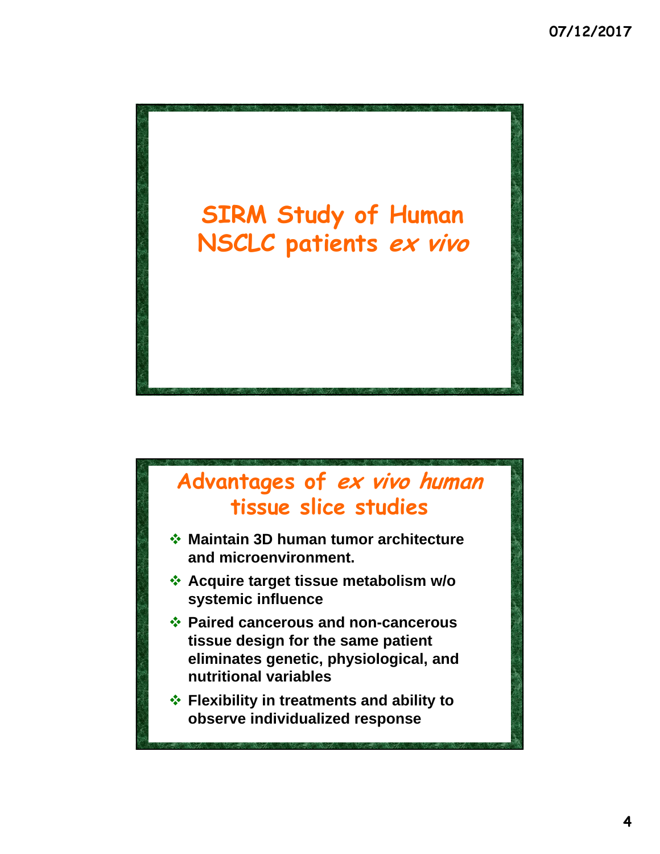

## **Advantages of ex vivo human tissue slice studies**

- **Maintain 3D human tumor architecture and microenvironment.**
- **Acquire target tissue metabolism w/o systemic influence**
- **Paired cancerous and non-cancerous tissue design for the same patient eliminates genetic, physiological, and nutritional variables**
- **Flexibility in treatments and ability to observe individualized response**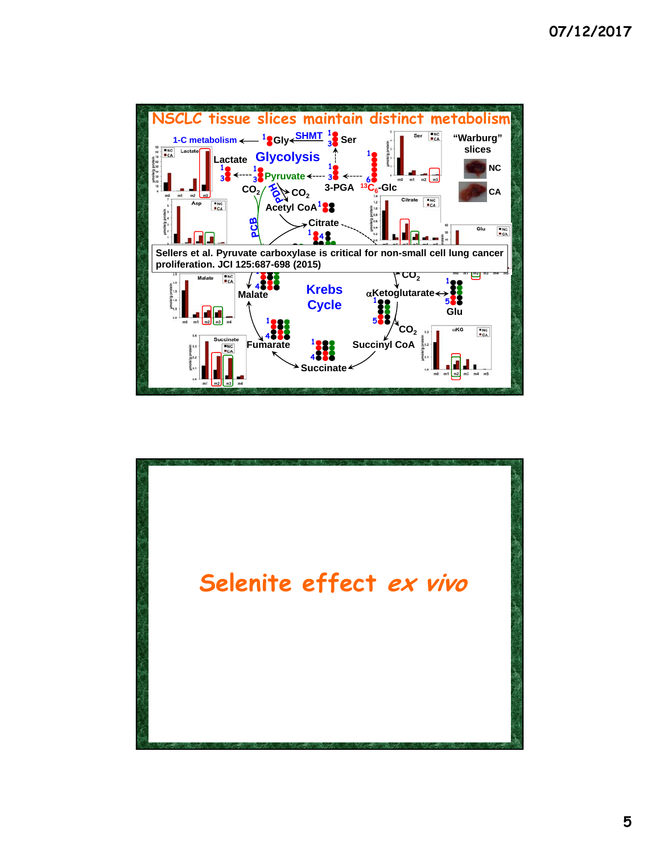

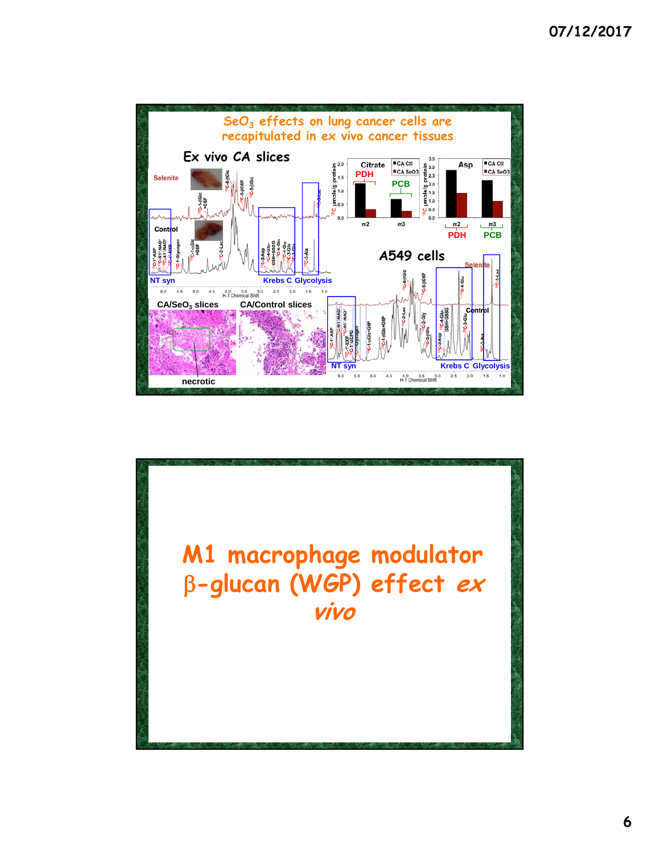

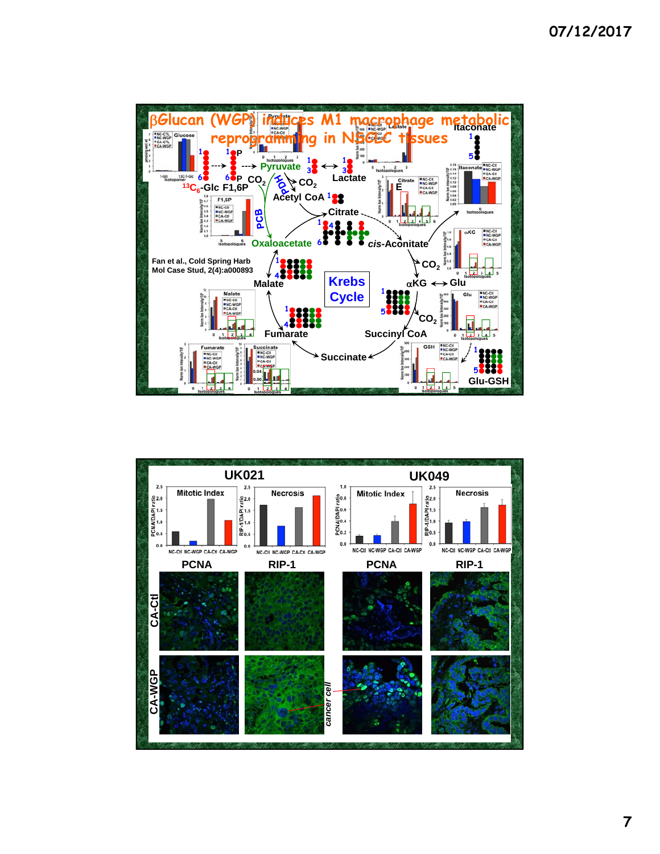

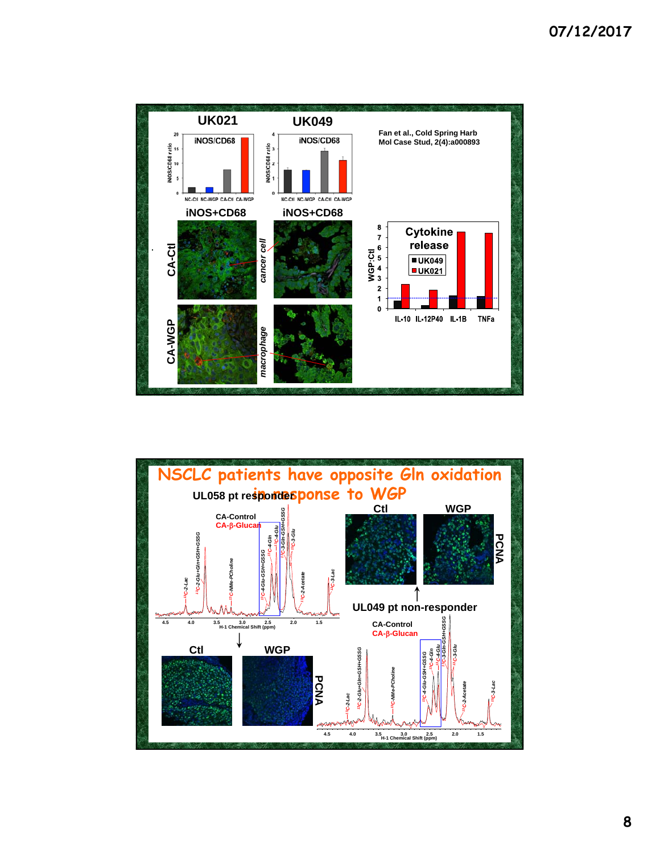

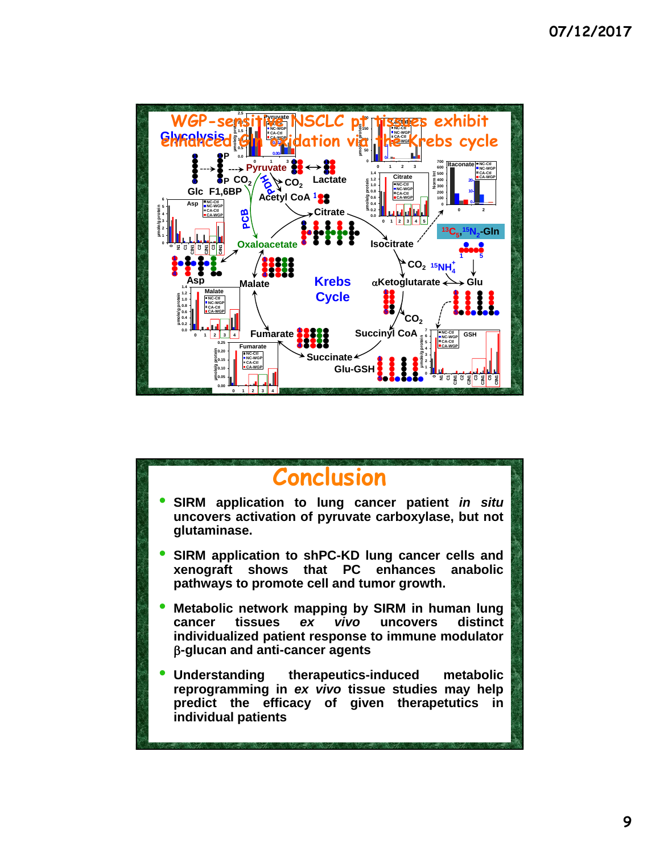